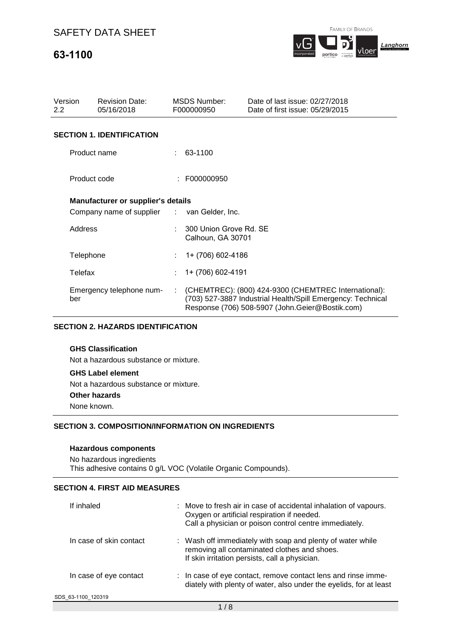# **63-1100**



| Version<br>$2.2^{\circ}$ |              | <b>Revision Date:</b><br>05/16/2018         |    | <b>MSDS Number:</b><br>F000000950           | Date of last issue: 02/27/2018<br>Date of first issue: 05/29/2015                                                                                                      |
|--------------------------|--------------|---------------------------------------------|----|---------------------------------------------|------------------------------------------------------------------------------------------------------------------------------------------------------------------------|
|                          |              | <b>SECTION 1. IDENTIFICATION</b>            |    |                                             |                                                                                                                                                                        |
|                          | Product name |                                             |    | 63-1100                                     |                                                                                                                                                                        |
|                          | Product code |                                             |    | : F000000950                                |                                                                                                                                                                        |
|                          |              | <b>Manufacturer or supplier's details</b>   |    |                                             |                                                                                                                                                                        |
|                          |              | Company name of supplier : van Gelder, Inc. |    |                                             |                                                                                                                                                                        |
|                          | Address      |                                             |    | 300 Union Grove Rd. SE<br>Calhoun, GA 30701 |                                                                                                                                                                        |
|                          | Telephone    |                                             |    | 1+ (706) 602-4186                           |                                                                                                                                                                        |
|                          | Telefax      |                                             |    | 1+ (706) 602-4191                           |                                                                                                                                                                        |
|                          | ber          | Emergency telephone num-                    | ÷. |                                             | (CHEMTREC): (800) 424-9300 (CHEMTREC International):<br>(703) 527-3887 Industrial Health/Spill Emergency: Technical<br>Response (706) 508-5907 (John.Geier@Bostik.com) |

### **SECTION 2. HAZARDS IDENTIFICATION**

### **GHS Classification**

Not a hazardous substance or mixture.

#### **GHS Label element**

Not a hazardous substance or mixture.

#### **Other hazards**

None known.

#### **SECTION 3. COMPOSITION/INFORMATION ON INGREDIENTS**

#### **Hazardous components**

No hazardous ingredients This adhesive contains 0 g/L VOC (Volatile Organic Compounds).

### **SECTION 4. FIRST AID MEASURES**

| If inhaled              | : Move to fresh air in case of accidental inhalation of vapours.<br>Oxygen or artificial respiration if needed.<br>Call a physician or poison control centre immediately. |
|-------------------------|---------------------------------------------------------------------------------------------------------------------------------------------------------------------------|
| In case of skin contact | : Wash off immediately with soap and plenty of water while<br>removing all contaminated clothes and shoes.<br>If skin irritation persists, call a physician.              |
| In case of eye contact  | : In case of eye contact, remove contact lens and rinse imme-<br>diately with plenty of water, also under the eyelids, for at least                                       |
| SDS 63-1100 120319      |                                                                                                                                                                           |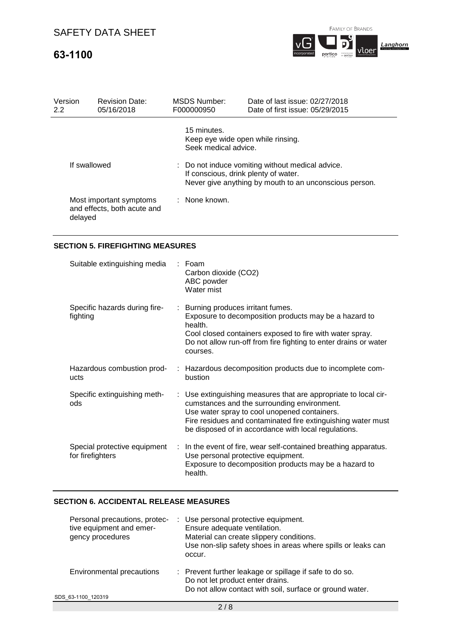# **63-1100**



| Version<br>2.2 | <b>Revision Date:</b><br>05/16/2018                               | <b>MSDS Number:</b><br>F000000950                                        | Date of last issue: 02/27/2018<br>Date of first issue: 05/29/2015                                                                                  |  |  |  |
|----------------|-------------------------------------------------------------------|--------------------------------------------------------------------------|----------------------------------------------------------------------------------------------------------------------------------------------------|--|--|--|
|                |                                                                   | 15 minutes.<br>Keep eye wide open while rinsing.<br>Seek medical advice. |                                                                                                                                                    |  |  |  |
| If swallowed   |                                                                   |                                                                          | : Do not induce vomiting without medical advice.<br>If conscious, drink plenty of water.<br>Never give anything by mouth to an unconscious person. |  |  |  |
|                | Most important symptoms<br>and effects, both acute and<br>delayed | : None known.                                                            |                                                                                                                                                    |  |  |  |

## **SECTION 5. FIREFIGHTING MEASURES**

| Suitable extinguishing media                     | : Foam<br>Carbon dioxide (CO2)<br>ABC powder<br>Water mist                                                                                                                                                                                                                             |
|--------------------------------------------------|----------------------------------------------------------------------------------------------------------------------------------------------------------------------------------------------------------------------------------------------------------------------------------------|
| Specific hazards during fire-<br>fighting        | : Burning produces irritant fumes.<br>Exposure to decomposition products may be a hazard to<br>health.<br>Cool closed containers exposed to fire with water spray.<br>Do not allow run-off from fire fighting to enter drains or water<br>courses.                                     |
| Hazardous combustion prod-<br>ucts               | : Hazardous decomposition products due to incomplete com-<br>bustion                                                                                                                                                                                                                   |
| Specific extinguishing meth-<br>ods              | : Use extinguishing measures that are appropriate to local cir-<br>cumstances and the surrounding environment.<br>Use water spray to cool unopened containers.<br>Fire residues and contaminated fire extinguishing water must<br>be disposed of in accordance with local regulations. |
| Special protective equipment<br>for firefighters | $\therefore$ In the event of fire, wear self-contained breathing apparatus.<br>Use personal protective equipment.<br>Exposure to decomposition products may be a hazard to<br>health.                                                                                                  |

## **SECTION 6. ACCIDENTAL RELEASE MEASURES**

| Personal precautions, protec-<br>tive equipment and emer-<br>gency procedures | : Use personal protective equipment.<br>Ensure adequate ventilation.<br>Material can create slippery conditions.<br>Use non-slip safety shoes in areas where spills or leaks can<br>occur. |
|-------------------------------------------------------------------------------|--------------------------------------------------------------------------------------------------------------------------------------------------------------------------------------------|
| Environmental precautions                                                     | : Prevent further leakage or spillage if safe to do so.<br>Do not let product enter drains.<br>Do not allow contact with soil, surface or ground water.                                    |
| SDS 63-1100 120319                                                            |                                                                                                                                                                                            |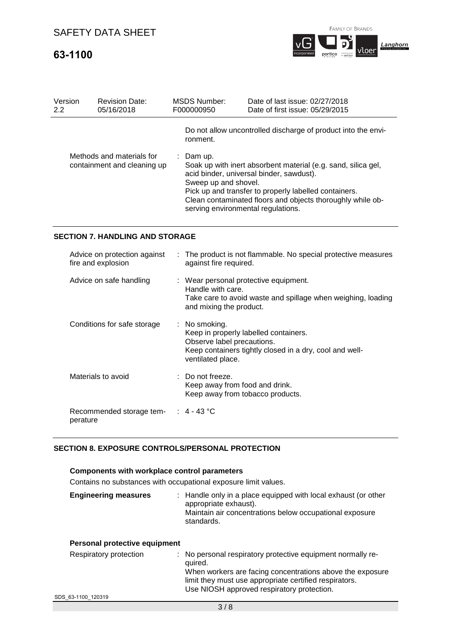# **63-1100**



**portico eventual** 

vloer

| Version<br>$2.2\,$ | <b>Revision Date:</b><br>05/16/2018                      | MSDS Number:<br>F000000950                                              | Date of last issue: 02/27/2018<br>Date of first issue: 05/29/2015                                                                                                                                                                |
|--------------------|----------------------------------------------------------|-------------------------------------------------------------------------|----------------------------------------------------------------------------------------------------------------------------------------------------------------------------------------------------------------------------------|
|                    |                                                          | ronment.                                                                | Do not allow uncontrolled discharge of product into the envi-                                                                                                                                                                    |
|                    | Methods and materials for<br>containment and cleaning up | : Dam up.<br>Sweep up and shovel.<br>serving environmental regulations. | Soak up with inert absorbent material (e.g. sand, silica gel,<br>acid binder, universal binder, sawdust).<br>Pick up and transfer to properly labelled containers.<br>Clean contaminated floors and objects thoroughly while ob- |

## **SECTION 7. HANDLING AND STORAGE**

| Advice on protection against<br>fire and explosion | : The product is not flammable. No special protective measures<br>against fire required.                                                                             |
|----------------------------------------------------|----------------------------------------------------------------------------------------------------------------------------------------------------------------------|
| Advice on safe handling                            | : Wear personal protective equipment.<br>Handle with care.<br>Take care to avoid waste and spillage when weighing, loading<br>and mixing the product.                |
| Conditions for safe storage                        | : No smoking.<br>Keep in properly labelled containers.<br>Observe label precautions.<br>Keep containers tightly closed in a dry, cool and well-<br>ventilated place. |
| Materials to avoid                                 | $\therefore$ Do not freeze.<br>Keep away from food and drink.<br>Keep away from tobacco products.                                                                    |
| Recommended storage tem- : 4 - 43 °C<br>perature   |                                                                                                                                                                      |

### **SECTION 8. EXPOSURE CONTROLS/PERSONAL PROTECTION**

### **Components with workplace control parameters**

Contains no substances with occupational exposure limit values.

| <b>Engineering measures</b>   | : Handle only in a place equipped with local exhaust (or other<br>appropriate exhaust).<br>Maintain air concentrations below occupational exposure<br>standards. |
|-------------------------------|------------------------------------------------------------------------------------------------------------------------------------------------------------------|
| Personal protective equipment |                                                                                                                                                                  |

| Respiratory protection | : No personal respiratory protective equipment normally re-<br>quired.<br>When workers are facing concentrations above the exposure |
|------------------------|-------------------------------------------------------------------------------------------------------------------------------------|
|                        | limit they must use appropriate certified respirators.<br>Use NIOSH approved respiratory protection.                                |
| , aa 11aa 100010       |                                                                                                                                     |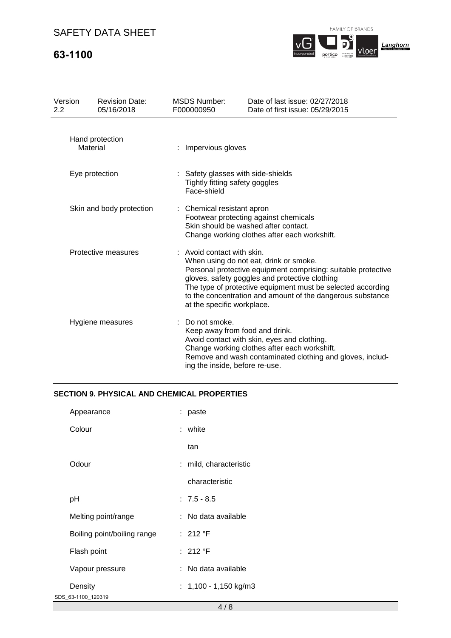# **63-1100**

FAMILY OF BRANDS



| Version<br>2.2           | <b>Revision Date:</b><br>05/16/2018 | <b>MSDS Number:</b><br>F000000950                                                                                                                           | Date of last issue: 02/27/2018<br>Date of first issue: 05/29/2015                                                                                                                                                                                                                      |  |  |
|--------------------------|-------------------------------------|-------------------------------------------------------------------------------------------------------------------------------------------------------------|----------------------------------------------------------------------------------------------------------------------------------------------------------------------------------------------------------------------------------------------------------------------------------------|--|--|
|                          | Hand protection<br>Material         | Impervious gloves                                                                                                                                           |                                                                                                                                                                                                                                                                                        |  |  |
| Eye protection           |                                     | : Safety glasses with side-shields<br>Tightly fitting safety goggles<br>Face-shield                                                                         |                                                                                                                                                                                                                                                                                        |  |  |
| Skin and body protection |                                     | : Chemical resistant apron<br>Footwear protecting against chemicals<br>Skin should be washed after contact.<br>Change working clothes after each workshift. |                                                                                                                                                                                                                                                                                        |  |  |
| Protective measures      |                                     | : Avoid contact with skin.<br>at the specific workplace.                                                                                                    | When using do not eat, drink or smoke.<br>Personal protective equipment comprising: suitable protective<br>gloves, safety goggles and protective clothing<br>The type of protective equipment must be selected according<br>to the concentration and amount of the dangerous substance |  |  |
|                          | Hygiene measures                    | Do not smoke.<br>ing the inside, before re-use.                                                                                                             | Keep away from food and drink.<br>Avoid contact with skin, eyes and clothing.<br>Change working clothes after each workshift.<br>Remove and wash contaminated clothing and gloves, includ-                                                                                             |  |  |

### **SECTION 9. PHYSICAL AND CHEMICAL PROPERTIES**

| Appearance                  | : paste                 |
|-----------------------------|-------------------------|
| Colour                      | : white                 |
|                             | tan                     |
| Odour                       | : mild, characteristic  |
|                             | characteristic          |
| рH                          | $: 7.5 - 8.5$           |
| Melting point/range         | : No data available     |
| Boiling point/boiling range | : 212 °F                |
| Flash point                 | : 212 °F                |
| Vapour pressure             | : No data available     |
| Density                     | : $1,100 - 1,150$ kg/m3 |
| SDS_63-1100_120319          |                         |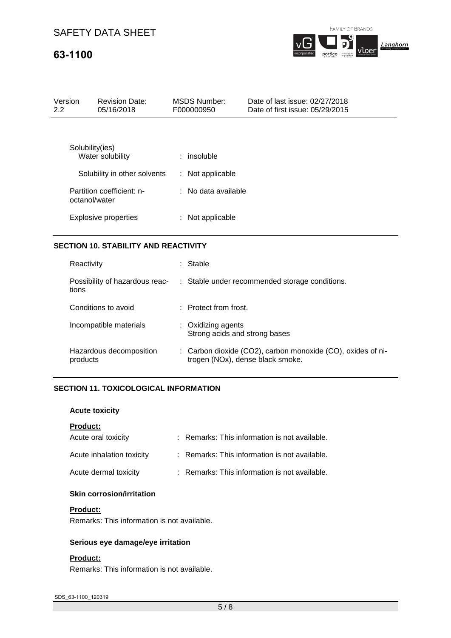# **63-1100**

| Version<br>2.2  | <b>Revision Date:</b><br>05/16/2018 | <b>MSDS Number:</b><br>F000000950 | Date of last issue: 02/27/2018<br>Date of first issue: 05/29/2015 |
|-----------------|-------------------------------------|-----------------------------------|-------------------------------------------------------------------|
|                 |                                     |                                   |                                                                   |
| Solubility(ies) | Water solubility                    | $:$ insoluble                     |                                                                   |
|                 | Solubility in other solvents        | : Not applicable                  |                                                                   |
| octanol/water   | Partition coefficient: n-           | $\therefore$ No data available    |                                                                   |

|                             | : Not applicable |
|-----------------------------|------------------|
| <b>Explosive properties</b> |                  |

## **SECTION 10. STABILITY AND REACTIVITY**

| Reactivity                              | Stable                                                                                          |
|-----------------------------------------|-------------------------------------------------------------------------------------------------|
| Possibility of hazardous reac-<br>tions | : Stable under recommended storage conditions.                                                  |
| Conditions to avoid                     | $\pm$ Protect from frost.                                                                       |
| Incompatible materials                  | : Oxidizing agents<br>Strong acids and strong bases                                             |
| Hazardous decomposition<br>products     | : Carbon dioxide (CO2), carbon monoxide (CO), oxides of ni-<br>trogen (NOx), dense black smoke. |

### **SECTION 11. TOXICOLOGICAL INFORMATION**

### **Acute toxicity**

### **Product:**

| Acute oral toxicity       | : Remarks: This information is not available. |
|---------------------------|-----------------------------------------------|
| Acute inhalation toxicity | : Remarks: This information is not available. |
| Acute dermal toxicity     | : Remarks: This information is not available. |

## **Skin corrosion/irritation**

#### **Product:**

Remarks: This information is not available.

### **Serious eye damage/eye irritation**

### **Product:**

Remarks: This information is not available.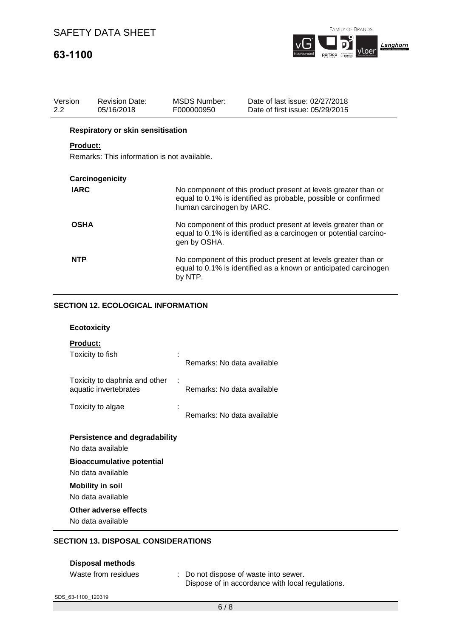# **63-1100**



| Version<br>$2.2^{\circ}$ | <b>Revision Date:</b><br>05/16/2018         | MSDS Number:<br>F000000950 | Date of last issue: 02/27/2018<br>Date of first issue: 05/29/2015                                                                   |
|--------------------------|---------------------------------------------|----------------------------|-------------------------------------------------------------------------------------------------------------------------------------|
|                          | <b>Respiratory or skin sensitisation</b>    |                            |                                                                                                                                     |
| <b>Product:</b>          | Remarks: This information is not available. |                            |                                                                                                                                     |
|                          | Carcinogenicity                             |                            |                                                                                                                                     |
| <b>IARC</b>              |                                             | human carcinogen by IARC.  | No component of this product present at levels greater than or<br>equal to 0.1% is identified as probable, possible or confirmed    |
| <b>OSHA</b>              |                                             | gen by OSHA.               | No component of this product present at levels greater than or<br>equal to 0.1% is identified as a carcinogen or potential carcino- |
| <b>NTP</b>               |                                             | by NTP.                    | No component of this product present at levels greater than or<br>equal to 0.1% is identified as a known or anticipated carcinogen  |

## **SECTION 12. ECOLOGICAL INFORMATION**

| <b>Ecotoxicity</b>                                                                                                                                                                                               |                            |
|------------------------------------------------------------------------------------------------------------------------------------------------------------------------------------------------------------------|----------------------------|
| <b>Product:</b><br>Toxicity to fish                                                                                                                                                                              | Remarks: No data available |
| Toxicity to daphnia and other<br>aquatic invertebrates                                                                                                                                                           | Remarks: No data available |
| Toxicity to algae                                                                                                                                                                                                | Remarks: No data available |
| <b>Persistence and degradability</b><br>No data available<br><b>Bioaccumulative potential</b><br>No data available<br><b>Mobility in soil</b><br>No data available<br>Other adverse effects<br>No data available |                            |
|                                                                                                                                                                                                                  |                            |

## **SECTION 13. DISPOSAL CONSIDERATIONS**

| <b>Disposal methods</b> |                                                                                           |
|-------------------------|-------------------------------------------------------------------------------------------|
| Waste from residues     | : Do not dispose of waste into sewer.<br>Dispose of in accordance with local regulations. |
| SDS 63-1100 120319      |                                                                                           |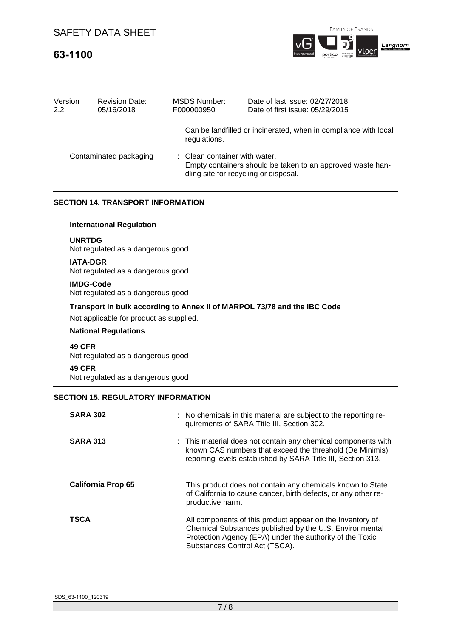# **63-1100**



| Version<br>2.2 | <b>Revision Date:</b><br>05/16/2018 | MSDS Number:<br>F000000950                                             | Date of last issue: 02/27/2018<br>Date of first issue: 05/29/2015 |
|----------------|-------------------------------------|------------------------------------------------------------------------|-------------------------------------------------------------------|
|                |                                     | regulations.                                                           | Can be landfilled or incinerated, when in compliance with local   |
|                | Contaminated packaging              | : Clean container with water.<br>dling site for recycling or disposal. | Empty containers should be taken to an approved waste han-        |

## **SECTION 14. TRANSPORT INFORMATION**

### **International Regulation**

#### **UNRTDG**

Not regulated as a dangerous good

#### **IATA-DGR**

Not regulated as a dangerous good

## **IMDG-Code**

Not regulated as a dangerous good

### **Transport in bulk according to Annex II of MARPOL 73/78 and the IBC Code**

Not applicable for product as supplied.

### **National Regulations**

**49 CFR**

Not regulated as a dangerous good

### **49 CFR**

Not regulated as a dangerous good

## **SECTION 15. REGULATORY INFORMATION**

| <b>SARA 302</b>           | : No chemicals in this material are subject to the reporting re-<br>quirements of SARA Title III, Section 302.                                                                                                     |
|---------------------------|--------------------------------------------------------------------------------------------------------------------------------------------------------------------------------------------------------------------|
| <b>SARA 313</b>           | : This material does not contain any chemical components with<br>known CAS numbers that exceed the threshold (De Minimis)<br>reporting levels established by SARA Title III, Section 313.                          |
| <b>California Prop 65</b> | This product does not contain any chemicals known to State<br>of California to cause cancer, birth defects, or any other re-<br>productive harm.                                                                   |
| <b>TSCA</b>               | All components of this product appear on the Inventory of<br>Chemical Substances published by the U.S. Environmental<br>Protection Agency (EPA) under the authority of the Toxic<br>Substances Control Act (TSCA). |